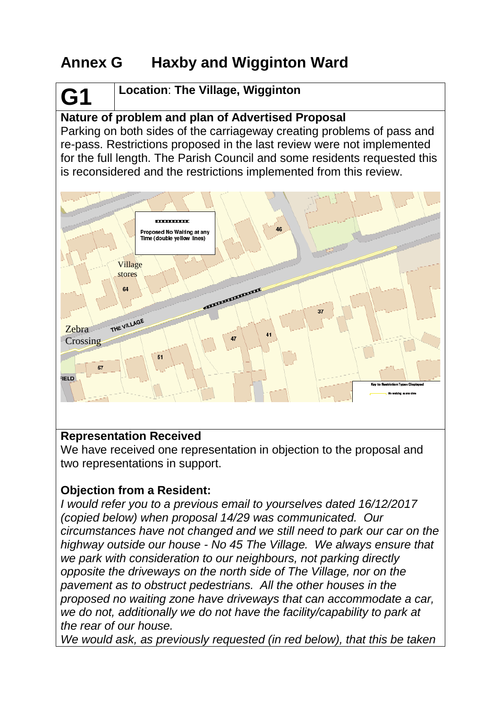# **Annex G Haxby and Wigginton Ward**

# **G1 Location**: **The Village, Wigginton**

## **Nature of problem and plan of Advertised Proposal**

Parking on both sides of the carriageway creating problems of pass and re-pass. Restrictions proposed in the last review were not implemented for the full length. The Parish Council and some residents requested this is reconsidered and the restrictions implemented from this review.



#### **Representation Received**

We have received one representation in objection to the proposal and two representations in support.

### **Objection from a Resident:**

*I would refer you to a previous email to yourselves dated 16/12/2017 (copied below) when proposal 14/29 was communicated. Our circumstances have not changed and we still need to park our car on the highway outside our house - No 45 The Village. We always ensure that we park with consideration to our neighbours, not parking directly opposite the driveways on the north side of The Village, nor on the pavement as to obstruct pedestrians. All the other houses in the proposed no waiting zone have driveways that can accommodate a car, we do not, additionally we do not have the facility/capability to park at the rear of our house.*

*We would ask, as previously requested (in red below), that this be taken*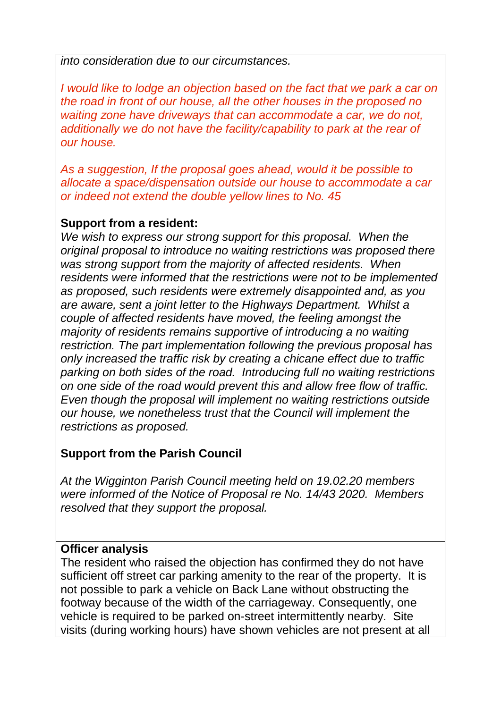*into consideration due to our circumstances.*

*I* would like to lodge an objection based on the fact that we park a car on *the road in front of our house, all the other houses in the proposed no waiting zone have driveways that can accommodate a car, we do not, additionally we do not have the facility/capability to park at the rear of our house.*

*As a suggestion, If the proposal goes ahead, would it be possible to allocate a space/dispensation outside our house to accommodate a car or indeed not extend the double yellow lines to No. 45*

#### **Support from a resident:**

*We wish to express our strong support for this proposal. When the original proposal to introduce no waiting restrictions was proposed there was strong support from the majority of affected residents. When residents were informed that the restrictions were not to be implemented as proposed, such residents were extremely disappointed and, as you are aware, sent a joint letter to the Highways Department. Whilst a couple of affected residents have moved, the feeling amongst the majority of residents remains supportive of introducing a no waiting restriction. The part implementation following the previous proposal has only increased the traffic risk by creating a chicane effect due to traffic parking on both sides of the road. Introducing full no waiting restrictions on one side of the road would prevent this and allow free flow of traffic. Even though the proposal will implement no waiting restrictions outside our house, we nonetheless trust that the Council will implement the restrictions as proposed.*

### **Support from the Parish Council**

*At the Wigginton Parish Council meeting held on 19.02.20 members were informed of the Notice of Proposal re No. 14/43 2020. Members resolved that they support the proposal.*

#### **Officer analysis**

The resident who raised the objection has confirmed they do not have sufficient off street car parking amenity to the rear of the property. It is not possible to park a vehicle on Back Lane without obstructing the footway because of the width of the carriageway. Consequently, one vehicle is required to be parked on-street intermittently nearby. Site visits (during working hours) have shown vehicles are not present at all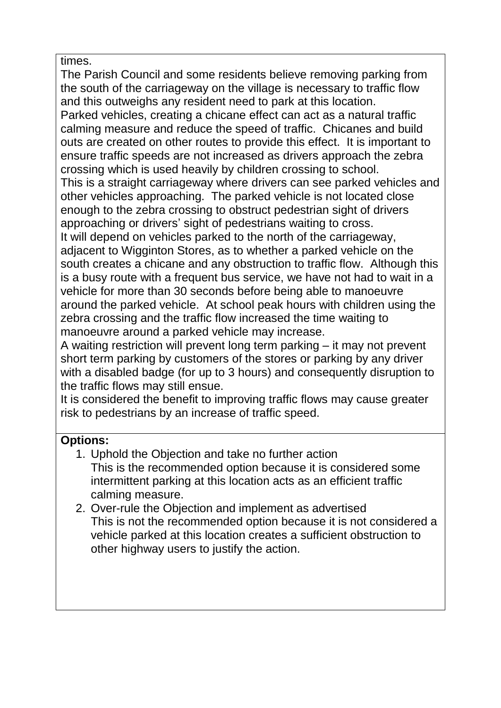times.

The Parish Council and some residents believe removing parking from the south of the carriageway on the village is necessary to traffic flow and this outweighs any resident need to park at this location.

Parked vehicles, creating a chicane effect can act as a natural traffic calming measure and reduce the speed of traffic. Chicanes and build outs are created on other routes to provide this effect. It is important to ensure traffic speeds are not increased as drivers approach the zebra crossing which is used heavily by children crossing to school.

This is a straight carriageway where drivers can see parked vehicles and other vehicles approaching. The parked vehicle is not located close enough to the zebra crossing to obstruct pedestrian sight of drivers approaching or drivers' sight of pedestrians waiting to cross.

It will depend on vehicles parked to the north of the carriageway, adjacent to Wigginton Stores, as to whether a parked vehicle on the south creates a chicane and any obstruction to traffic flow. Although this is a busy route with a frequent bus service, we have not had to wait in a vehicle for more than 30 seconds before being able to manoeuvre around the parked vehicle. At school peak hours with children using the zebra crossing and the traffic flow increased the time waiting to manoeuvre around a parked vehicle may increase.

A waiting restriction will prevent long term parking – it may not prevent short term parking by customers of the stores or parking by any driver with a disabled badge (for up to 3 hours) and consequently disruption to the traffic flows may still ensue.

It is considered the benefit to improving traffic flows may cause greater risk to pedestrians by an increase of traffic speed.

## **Options:**

- 1. Uphold the Objection and take no further action This is the recommended option because it is considered some intermittent parking at this location acts as an efficient traffic calming measure.
- 2. Over-rule the Objection and implement as advertised This is not the recommended option because it is not considered a vehicle parked at this location creates a sufficient obstruction to other highway users to justify the action.